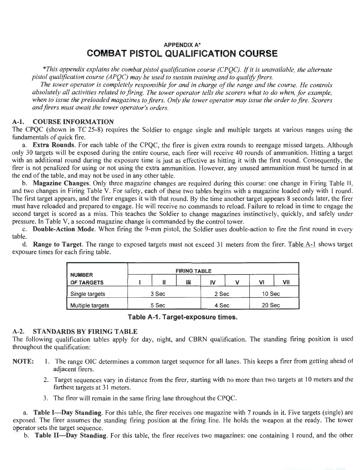# APPENDIX A\* **COMBAT PISTOL QUALIFICATION COURSE**

*\*This appendix explains the combat pistol qualification course (CPQC).* If it *is unavailable, the alternate pistol qualification course (APQC) may be used to sustain training and to qualify firers.* 

*The tower. operator is completely responsible for and in charge of the range and the course. He controls absolutely all activities related to firing. The tower operator tells the scorers what to do when, for example,*  when to issue the preloaded magazines to firers. Only the tower operator may issue the order to fire. Scorers *and firers must await the tower operator's orders.* 

## A-1. COURSE INFORMATION

The CPQC (shown in TC 25-8) requires the Soldier to engage single and multiple targets at various ranges using the fundamentals of quick fire.

a. Extra Rounds. For each table of the CPQC, the firer is given extra rounds to reengage missed targets. Although only 30 targets will be exposed during the entire course, each firer will receive 40 rounds of ammunition. Hitting a target with an additional round during the exposure time is just as effective as hitting it with the first round. Consequently, the firer is not penalized for using or not using the extra ammunition. However, any unused ammunition must be turned in at the end of the table, and may not be used in any other table.

b. Magazine Changes. Only three magazine changes are required during this course: one change in Firing Table II, and two changes in Firing Table V. For safety, each of these two tables begins with a magazine loaded only with 1 round. The first target appears, and the firer engages it with that round. By the time another target appears 8 seconds later, the firer must have reloaded and prepared to engage. He will receive no commands to reload. Failure to reload in time to engage the second target is scored as a miss. This teaches the Soldier to change magazines instinctively, quickly, and safely under pressure. In Table V, a second magazine change is commanded by the control tower.

c. Double-Action Mode. When firing the 9-mm pistol, the Soldier uses double-action to fire the first round in every table.

d. Range to Target. The range to exposed targets must not exceed 31 meters from the firer. Table A-1 shows target exposure times for each firing table.

| <b>NUMBER</b><br>OF TARGETS | <b>FIRING TABLE</b> |  |   |       |  |        |     |  |
|-----------------------------|---------------------|--|---|-------|--|--------|-----|--|
|                             |                     |  | Ш | IV    |  | VI     | VII |  |
| Single targets              | 3 Sec               |  |   | 2 Sec |  | 10 Sec |     |  |
| Multiple targets            | 5 Sec               |  |   | 4 Sec |  | 20 Sec |     |  |

|  | Table A-1. Target-exposure times. |  |
|--|-----------------------------------|--|
|--|-----------------------------------|--|

#### A-2. STANDARDS BY FIRING TABLE

The following quatification tables apply for day, night, and CBRN qualification. The standing firing position is used throughout the qualification:

- NOTE: 1. The range OIC determines a common target sequence for all lanes. This keeps a firer from getting ahead of adjacent firers.
	- 2. Target sequences vary in distance from the firer, starting with no more than two targets at 10 meters and the farthest targets at 31 meters.
	- 3. The firer will remain in the same firing lane throughout the CPQC.

a. Table I-Day Standing. For this table, the firer receives one magazine with 7 rounds in it. Five targets (single) are exposed. The firer assumes the standing firing position at the firing line. He holds the weapon at the ready. The tower operator sets the target sequence.

b. Table II-Day Standing. For this table, the firer receives two magazines: one containing 1 round, and the other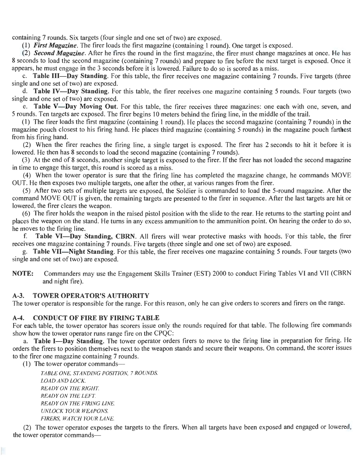containing 7 rounds. Six targets (four single and one set of two) are exposed.

(1) *First Magazine.* The firer loads the first magazine (containing 1 round). One target is exposed.

(2) *Second Magazine.* After he fires the round in the first magazine, the firer must change magazines at once. He has 8 seconds to load the second magazine (containing 7 rounds) and prepare to fire before the next target is exposed. Once it appears, he must engage in the 3 seconds before it is lowered. Failure to do so is scored as a miss.

c. Table III-Day Standing. For this table, the firer receives one magazine containing 7 rounds. Five targets (three single and one set of two) are exposed.

d. Table IV—Day Standing. For this table, the firer receives one magazine containing 5 rounds. Four targets (two single and one set of two) are exposed.

e. Table V-Day Moving Out. For this table, the firer receives three magazines: one each with one, seven, and 5 rounds. Ten targets are exposed. The firer begins 10 meters behind the firing line, in the middle of the trail.

(1) The firer loads the first magazine (containing 1 round). He places the second magazine (containing 7 rounds) in the magazine pouch closest to his firing hand. He places third magazine (containing 5 rounds) in the magazine pouch farthest from his firing hand.

(2) When the firer reaches the firing line, a single target is exposed. The firer has 2 seconds to hit it before it is lowered. He then has 8 seconds to load the second magazine (containing 7 rounds).

(3) At the end of 8 seconds, another single target is exposed to the firer. If the firer has not loaded the second magazine in time to engage this target, this round is scored as a miss.

(4) When the tower operator is sure that the firing line has completed the magazine change, he commands MOVE OUT. He then exposes two multiple targets, one after the other, at various ranges from the firer.

(5) After two sets of multiple targets are exposed, the Soldier is commanded to load the 5-round magazine. After the command MOVE OUT is given, the remaining targets are presented to the firer in sequence. After the last targets are hit or lowered, the firer clears the weapon.

(6) The firer holds the weapon in the raised pistol position with the slide to the rear. He returns to the starting point and places the weapon on the stand. He turns in any excess ammunition to the ammunition point. On hearing the order to do so, he moves to the firing line.

f. Table VI-Day Standing, CBRN. All firers will wear protective masks with hoods. For this table, the firer receives one magazine containing 7 rounds. Five targets (three single and one set of two) are exposed.

g. Table VII-Night Standing. For this table, the firer receives one magazine containing 5 rounds. Four targets (two single and one set of two) are exposed.

NOTE: Commanders may use the Engagement Skills Trainer (EST) 2000 to conduct Firing Tables VI and VII (CBRN and night fire).

## A-3. TOWER OPERATOR'S AUTHORITY

The tower operator is responsible for the range. For this reason, only he can give orders to scorers and firers on the range.

## A-4. CONDUCT OF FIRE BY FIRING TABLE

For each table, the tower operator has scorers issue only the rounds required for that table. The following fire commands show how the tower operator runs range fire on the CPQC:

a. Table I-Day Standing. The tower operator orders firers to move to the firing line in preparation for firing. He orders the firers to position themselves next to the weapon stands and secure their weapons. On command, the scorer issues to the firer one magazine containing 7 rounds.

(1) The tower operator commands-

*TABLE ONE, STANDING POSITION,* 7 *ROUNDS. LOAD AND LOCK.*  **READY ON THE RIGHT.** *READY ON THE LEFT. READY ON THE FIRING LINE. UNLOCK YOUR WEAPONS. FIRERS, WA TCH YOUR LANE.* 

(2) The tower operator exposes the targets to the firers. When all targets have been exposed and engaged or lowered, the tower operator commands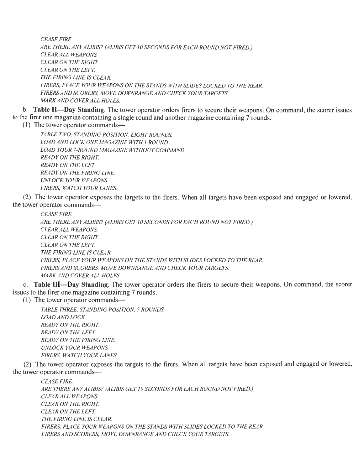*CEASE FIRE. ARE THERE ANY ALIBIS? (ALIBIS GET 10 SECONDS FOR EACH ROUND NOT FIRED.)*  **CLEAR ALL WEAPONS. CLEAR ON THE RIGHT. CLEAR ON THE LEFT.** *THE FIRING LINE IS CLEAR. FIRERS, PLACE YOUR WEAPONS ON THE STANDS WITH SLIDES LOCKED TO THE REAR. FIRERS AND SCORERS, MOVE DOWNRANGE AND CHECK YOUR TARGETS MARK AND COVER ALL HOLES* 

b. **Table 11-Day Standing.** The tower operator orders firers to secure their weapons. On command, the scorer issues to the firer one magazine containing a single round and another magazine containing 7 rounds.

**(1)** The tower operator commands-

**TABLE TWO, STANDING POSITION, EIGHT ROUNDS.** *LOAD AND LOCK ONE MAGAZINE WITH I ROUND. LOAD YOUR 7-ROUND MAGAZINE WITHOUT COMMAND.*  **READY ON THE RIGHT.** *READY ON THE LEFT READY ON THE FIRING LINE.*  **UNLOCK YOUR WEAPONS.** *FIRERS, WATCH YOUR LANES.* 

(2) The tower operator exposes the targets to the firers. When all targets have been exposed and engaged or lowered, the tower operator commands-

*CEASE FIRE. ARE THERE ANY ALIBIS? (ALIBIS GET 10 SECONDS FOR EACH ROUND NOT FIRED.)*  **CLEAR ALL WEAPONS. CLEAR ON THE RIGHT. CLEAR ON THE LEFT.** *THE FIRING LINE IS CLEAR. FIRERS, PLACE YOUR WEAPONS ON THE STANDS WITH SLIDES LOCKED TO THE REAR. FIRERS AND SCORERS, MOVE DOWNRANGE AND CHECK YOUR TARGETS*  **MARK AND COVER ALL HOLES.** 

c. **Table III-Day Standing.** The tower operator orders the firers to secure their weapons. On command, the scorer issues to the firer one magazine containing 7 rounds.

(1) The tower operator commands-

*TABLE THREE, STANDING POSITION,* 7 *ROUNDS*  **LOAD AND LOCK**. **READY ON THE RIGHT.** *READY ON THE LEFT. READY ON THE FIRING LINE. UNLOCK YOUR WEAPONS FIRERS, WATCH YOUR LANES* 

(2) The tower operator exposes the targets to the firers. When all targets have been exposed and engaged or lowered, the tower operator commands-

*CEASE FIRE. ARE THERE ANY ALIBIS? (ALIBIS GET 10 SECONDS FOR EACH ROUND NOT FIRED.) CLEAR ALL WEAPONS*  **CLEAR ON THE RIGHT. CLEAR ON THE LEFT.** *THE FIRING LINE IS CLEAR. FIRERS, PLACE YOUR WEAPONS ON THE STANDS WITH SLIDES LOCKED TO THE REAR.*  **FIRERS AND SCORERS, MOVE DOWNRANGE AND CHECK YOUR TARGETS.**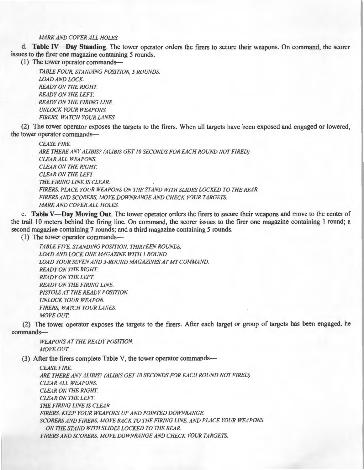#### **MARK AND COVER ALL HOLES.**

d. **Table IV-Day Standing.** The tower operator orders the firers to secure their weapons. On command, the scorer issues to the firer one magazine containing 5 rounds.

(1) The tower operator commands-

**TABLE FOUR, STANDING POSITION, 5 ROUNDS.** *LOAD AND LOCK.*  **READY ON THE RIGHT READY ON THE LEFT.** *READY ON THE FIRING LINE. UNLOCK YOUR WEAPONS*  **FIRERS, WATCH YOUR LANES.** 

(2) The tower operator exposes the targets to the firers. When all targets have been exposed and engaged or lowered, the tower operator commands-

*CEASE FIRE. ARE THERE ANY ALIBIS? (A LIBIS GET IO SECONDS FOR EACH ROUND NOT FIRED) CLEAR ALL WEA PONS*  **CLEAR ON THE RIGHT.** *CLEAR ON THE LEFT THE FIRING LINE IS CLEAR.*  FIRERS, PLACE YOUR WEAPONS ON THE STAND WITH SLIDES LOCKED TO THE REAR. *FIRERS AND SCORERS, MOVE DOWNRANGE AND CHECK YOUR TARGETS.*  **MARK AND COVER ALL HOLES.** 

e. **Table V-Day Moving Out.** The tower operator orders the firers to secure their weapons and move to the center of the trail 10 meters behind the firing line. On command, the scorer issues to the firer one magazine containing 1 round; a second magazine containing 7 rounds; and a third magazine containing 5 rounds.

(1) The tower operator commands-

**TABLE FIVE, STANDING POSITION, THIRTEEN ROUNDS.** LOAD AND LOCK ONE MAGAZINE WITH 1 ROUND. LOAD YOUR SEVEN AND 5-ROUND MAGAZINES AT MY COMMAND. **READY ON THE RIGHT. READY ON THE LEFT.** *READY ON THE FIRING LINE.*  **PISTOLS AT THE READY POSITION. UNLOCK YOUR WEAPON.** *FIRERS, WATCH YOUR LANES.*  **MOVE OUT.** 

(2) The tower operator exposes the targets to the firers. After each target or group of targets has been engaged, he commands-

**WEAPONS AT THE READY POSITION. MOVE OUT.** 

(3) After the firers complete Table V, the tower operator commands-

*CEASE FIRE. ARE THERE ANY ALIBIS? (A LIBIS GET I 0 SECONDS FOR EACH ROUND NOT FIRED) CLEAR ALL WEA PONS*  **CLEAR ON THE RIGHT. CLEAR ON THE LEFT.** *THE FIRING LINE IS CLEAR.*  **FIRERS, KEEP YOUR WEAPONS UP AND POINTED DOWNRANGE.** SCORERS AND FIRERS, MOVE BACK TO THE FIRING LINE, AND PLACE YOUR WEAPONS *ON THE STAND WITH SLIDES LOCKED TO THE REAR ..*  **FIRERS AND SCORERS, MOVE DOWNRANGE AND CHECK YOUR TARGETS.**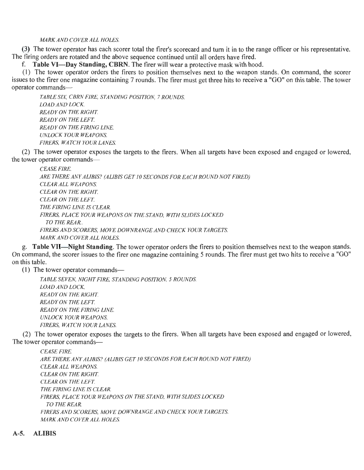#### *MARK AND COVER ALL HOLES.*

(3) The tower operator has each scorer total the firer's scorecard and tum it in to the range officer or his representative. The firing orders are rotated and the above sequence continued until all orders have fired.

f. **Table VI-Day Standing, CBRN.** The firer will wear a protective mask with hood.

(1) The tower operator orders the firers to position themselves next to the weapon stands. On command, the scorer issues to the firer one magazine containing 7 rounds. The firer must get three hits to receive a "GO" on this table. The tower operator commands-

*TA BLE SIX, CBRN FIRE, STANDING POSITION,* 7 *ROUNDS. LOAD AND LOCK.*  **READY ON THE RIGHT.** *READY ON THE LEFT REA DY ON THE FIRING LINE. UNLOCK YOUR WEAPONS. FIRERS, WATCH YOUR LANES.* 

(2) The tower operator exposes the targets to the firers. When all targets have been exposed and engaged or lowered, the tower operator commands-

*CEASE FIRE. ARE THERE ANY ALIBIS? (A LIBIS GET I 0 SECONDS FOR EACH ROUND NOT FIRED) CLEAR ALL WEA PONS.*  **CLEAR ON THE RIGHT. CLEAR ON THE LEFT.** *THE FIRING LINE IS CLEAR. FIRERS, PLACE YOUR WEAPONS ON THE STAND, WITH SLIDES LOCKED*  **TO THE REAR.. FIRERS AND SCORERS, MOVE DOWNRANGE AND CHECK YOUR TARGETS. MARK AND COVER ALL HOLES.** 

g. **Table VII-Night Standing.** The tower operator orders the firers to position themselves next to the weapon stands. On command, the scorer issues to the firer one magazine containing 5 rounds. The firer must get two hits to receive a "GO" on this table.

 $(1)$  The tower operator commands—

*TABLE SEVEN, NIGHT FIRE, STANDING POSITION, 5 ROUNDS. LOAD AND LOCK.*  **READY ON THE RIGHT. READY ON THE LEFT.** *READY ON THE FIRING LINE. UNLOCK YOUR WEAPONS. FIRERS, WATCH YOUR LANES.* 

(2) The tower operator exposes the targets to the firers. When all targets have been exposed and engaged or lowered, The tower operator commands-

*CEASE FIRE. ARE THERE ANY ALIBIS? (A LIBIS GET 10 SECONDS FOR EACH ROUND NOT FIRED) CLEAR ALL WEA PONS.*  **CLEAR ON THE RIGHT. CLEAR ON THE LEFT. THE FIRING LINE IS CLEAR.** FIRERS, PLACE YOUR WEAPONS ON THE STAND, WITH SLIDES LOCKED *TO THE REAR.*  **FIRERS AND SCORERS, MOVE DOWNRANGE AND CHECK YOUR TARGETS.** *MARK AND COVER ALL HOLES.* 

#### A-5. **ALIBIS**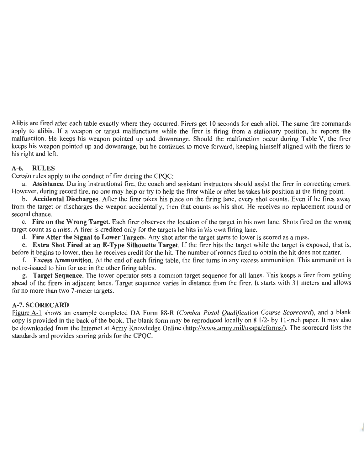Alibis are fired after each table exactly where they occurred. Firers get 10 seconds for each alibi. The same fire commands apply to alibis. If a weapon or target malfunctions while the firer is firing from a stationary position, he reports the malfunction. He keeps his weapon pointed up and downrange. Should the malfunction occur during Table V, the firer keeps his weapon pointed up and downrange, but he continues to move forward, keeping himself aligned with the firers to his right and left.

## A-6. RULES

Certain rules apply to the conduct of fire during the CPQC:

a. Assistance. During instructional fire, the coach and assistant instructors should assist the firer in correcting errors. However, during record fire, no one may help or try to help the firer while or after he takes his position at the firing point.

b. Accidental Discharges. After the firer takes his place on the firing lane, every shot counts. Even if he fires away from the target or discharges the weapon accidentally, then that counts as his shot. He receives no replacement round or second chance.

c. Fire on the Wrong Target. Each firer observes the location of the target in his own lane. Shots fired on the wrong target count as a miss. A firer is credited only for the targets he hits in his own firing lane.

d. Fire After the Signal to Lower Targets. Any shot after the target starts to lower is scored as a miss.

e. Extra Shot Fired at an E-Type Silhouette Target. If the firer hits the target while the target is exposed, that is, before it begins to lower, then he receives credit for the hit. The number of rounds fired to obtain the hit does not matter.

f. Excess Ammunition. At the end of each firing table, the firer turns in any excess ammunition. This ammunition is not re-issued to him for use in the other firing tables.

g. Target Sequence. The tower operator sets a common target sequence for all lanes. This keeps a firer from getting ahead of the firers in adjacent lanes. Target sequence varies in distance from the firer. It starts with 31 meters and allows for no more than two 7-meter targets.

## A-7. SCORECARD

Figure A-1 shows an example completed DA Form 88-R *(Combat Pistol Qualification Course Scorecard),* and a blank copy is provided in the back of the book. The blank form may be reproduced locally on 8 1/2- by 11-inch paper. It may also be downloaded from the Internet at Army Knowledge Online (http://www.army.mil/usapa/eforms/). The scorecard lists the standards and provides scoring grids for the CPQC.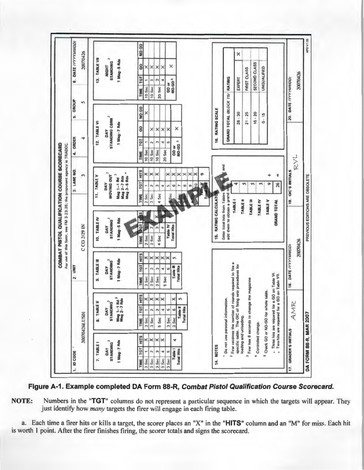

**Figure A-1. Example completed DA Form 88-R, Combat Pistol Qualification Course Scorecard.** 

**NOTE:** Numbers in the **"TGT"** columns do not represent a particular sequence in which the targets will appear. They just identify how *many* targets the firer will engage in each firing table.

a. Each time a firer hits or kills a target, the scorer places an "X" in the **"HITS"** column and an "M" for miss. Each hit is worth 1 point. After the firer finishes firing, the scorer totals and signs the scorecard.